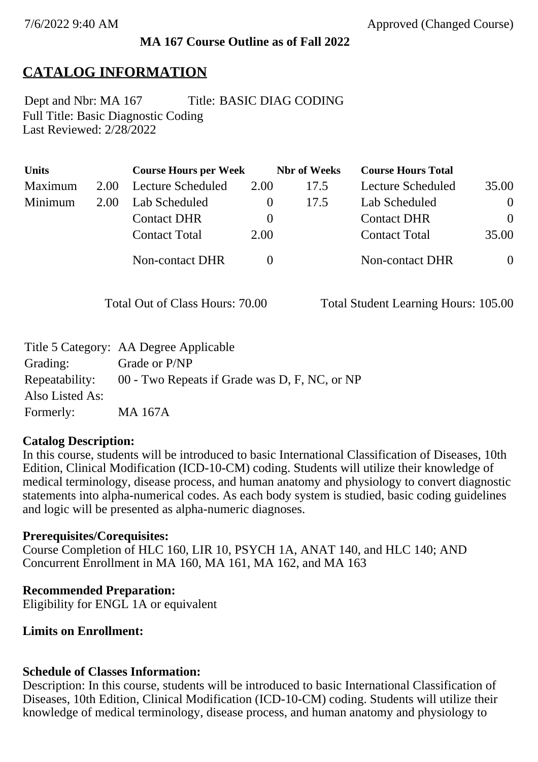### **MA 167 Course Outline as of Fall 2022**

## **CATALOG INFORMATION**

Full Title: Basic Diagnostic Coding Last Reviewed: 2/28/2022 Dept and Nbr: MA 167 Title: BASIC DIAG CODING

| <b>Units</b> |      | <b>Course Hours per Week</b> |              | <b>Nbr</b> of Weeks | <b>Course Hours Total</b> |                |
|--------------|------|------------------------------|--------------|---------------------|---------------------------|----------------|
| Maximum      | 2.00 | <b>Lecture Scheduled</b>     | 2.00         | 17.5                | Lecture Scheduled         | 35.00          |
| Minimum      | 2.00 | Lab Scheduled                | $\mathbf{0}$ | 17.5                | Lab Scheduled             | $\overline{0}$ |
|              |      | <b>Contact DHR</b>           | $\theta$     |                     | <b>Contact DHR</b>        | $\theta$       |
|              |      | <b>Contact Total</b>         | 2.00         |                     | <b>Contact Total</b>      | 35.00          |
|              |      | Non-contact DHR              |              |                     | <b>Non-contact DHR</b>    | $\overline{0}$ |

Total Out of Class Hours: 70.00 Total Student Learning Hours: 105.00

|                 | Title 5 Category: AA Degree Applicable                       |
|-----------------|--------------------------------------------------------------|
| Grading:        | Grade or P/NP                                                |
|                 | Repeatability: 00 - Two Repeats if Grade was D, F, NC, or NP |
| Also Listed As: |                                                              |
| Formerly:       | MA 167A                                                      |

### **Catalog Description:**

In this course, students will be introduced to basic International Classification of Diseases, 10th Edition, Clinical Modification (ICD-10-CM) coding. Students will utilize their knowledge of medical terminology, disease process, and human anatomy and physiology to convert diagnostic statements into alpha-numerical codes. As each body system is studied, basic coding guidelines and logic will be presented as alpha-numeric diagnoses.

### **Prerequisites/Corequisites:**

Course Completion of HLC 160, LIR 10, PSYCH 1A, ANAT 140, and HLC 140; AND Concurrent Enrollment in MA 160, MA 161, MA 162, and MA 163

### **Recommended Preparation:**

Eligibility for ENGL 1A or equivalent

**Limits on Enrollment:**

### **Schedule of Classes Information:**

Description: In this course, students will be introduced to basic International Classification of Diseases, 10th Edition, Clinical Modification (ICD-10-CM) coding. Students will utilize their knowledge of medical terminology, disease process, and human anatomy and physiology to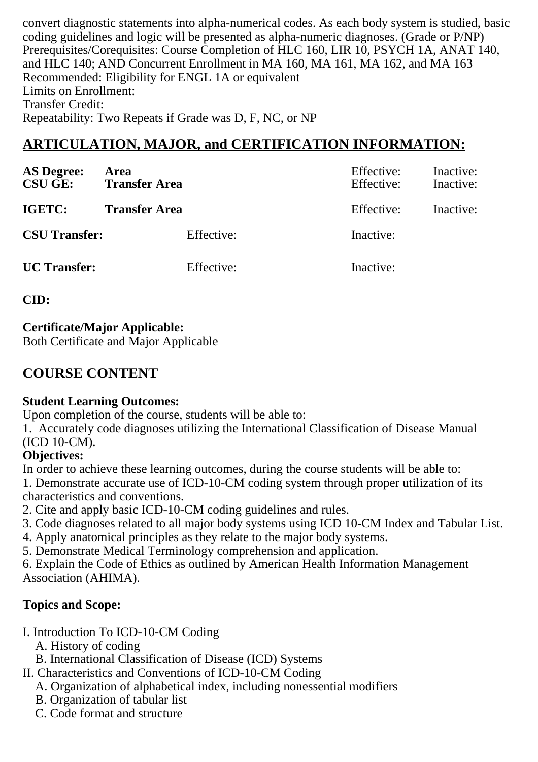convert diagnostic statements into alpha-numerical codes. As each body system is studied, basic coding guidelines and logic will be presented as alpha-numeric diagnoses. (Grade or P/NP) Prerequisites/Corequisites: Course Completion of HLC 160, LIR 10, PSYCH 1A, ANAT 140, and HLC 140; AND Concurrent Enrollment in MA 160, MA 161, MA 162, and MA 163 Recommended: Eligibility for ENGL 1A or equivalent Limits on Enrollment: Transfer Credit: Repeatability: Two Repeats if Grade was D, F, NC, or NP

# **ARTICULATION, MAJOR, and CERTIFICATION INFORMATION:**

| <b>AS Degree:</b><br><b>CSU GE:</b> | Area<br><b>Transfer Area</b> | Effective:<br>Effective: | Inactive:<br>Inactive: |
|-------------------------------------|------------------------------|--------------------------|------------------------|
| IGETC:                              | <b>Transfer Area</b>         | Effective:               | Inactive:              |
| <b>CSU Transfer:</b>                | Effective:                   | Inactive:                |                        |
| <b>UC</b> Transfer:                 | Effective:                   | Inactive:                |                        |

**CID:**

## **Certificate/Major Applicable:**

[Both Certificate and Major Applicable](SR_ClassCheck.aspx?CourseKey=MA167)

## **COURSE CONTENT**

### **Student Learning Outcomes:**

Upon completion of the course, students will be able to:

1. Accurately code diagnoses utilizing the International Classification of Disease Manual (ICD 10-CM).

### **Objectives:**

In order to achieve these learning outcomes, during the course students will be able to:

1. Demonstrate accurate use of ICD-10-CM coding system through proper utilization of its characteristics and conventions.

2. Cite and apply basic ICD-10-CM coding guidelines and rules.

- 3. Code diagnoses related to all major body systems using ICD 10-CM Index and Tabular List.
- 4. Apply anatomical principles as they relate to the major body systems.
- 5. Demonstrate Medical Terminology comprehension and application.

6. Explain the Code of Ethics as outlined by American Health Information Management Association (AHIMA).

## **Topics and Scope:**

- I. Introduction To ICD-10-CM Coding
	- A. History of coding
	- B. International Classification of Disease (ICD) Systems
- II. Characteristics and Conventions of ICD-10-CM Coding
	- A. Organization of alphabetical index, including nonessential modifiers
	- B. Organization of tabular list
	- C. Code format and structure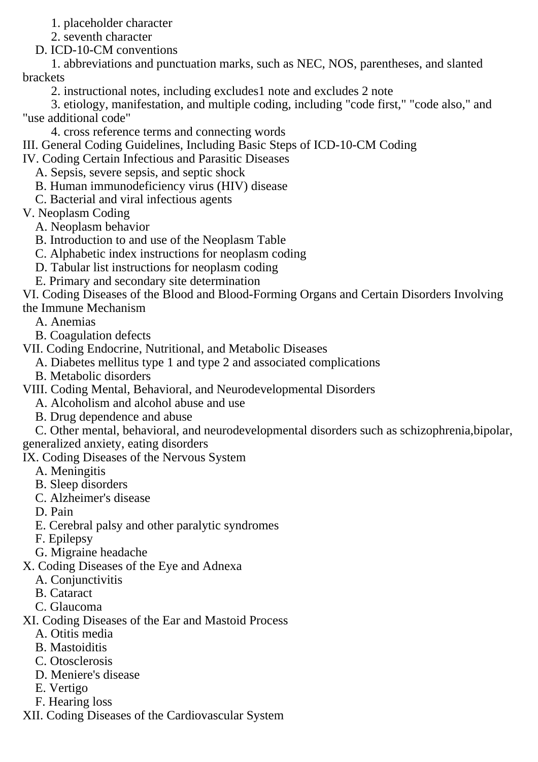1. placeholder character

2. seventh character

D. ICD-10-CM conventions

 1. abbreviations and punctuation marks, such as NEC, NOS, parentheses, and slanted brackets

2. instructional notes, including excludes1 note and excludes 2 note

 3. etiology, manifestation, and multiple coding, including "code first," "code also," and "use additional code"

4. cross reference terms and connecting words

III. General Coding Guidelines, Including Basic Steps of ICD-10-CM Coding

IV. Coding Certain Infectious and Parasitic Diseases

A. Sepsis, severe sepsis, and septic shock

B. Human immunodeficiency virus (HIV) disease

C. Bacterial and viral infectious agents

V. Neoplasm Coding

A. Neoplasm behavior

B. Introduction to and use of the Neoplasm Table

C. Alphabetic index instructions for neoplasm coding

D. Tabular list instructions for neoplasm coding

E. Primary and secondary site determination

VI. Coding Diseases of the Blood and Blood-Forming Organs and Certain Disorders Involving the Immune Mechanism

A. Anemias

B. Coagulation defects

VII. Coding Endocrine, Nutritional, and Metabolic Diseases

A. Diabetes mellitus type 1 and type 2 and associated complications

B. Metabolic disorders

VIII. Coding Mental, Behavioral, and Neurodevelopmental Disorders

A. Alcoholism and alcohol abuse and use

B. Drug dependence and abuse

 C. Other mental, behavioral, and neurodevelopmental disorders such as schizophrenia,bipolar, generalized anxiety, eating disorders

IX. Coding Diseases of the Nervous System

A. Meningitis

B. Sleep disorders

C. Alzheimer's disease

D. Pain

E. Cerebral palsy and other paralytic syndromes

F. Epilepsy

G. Migraine headache

X. Coding Diseases of the Eye and Adnexa

A. Conjunctivitis

B. Cataract

C. Glaucoma

XI. Coding Diseases of the Ear and Mastoid Process

A. Otitis media

B. Mastoiditis

C. Otosclerosis

D. Meniere's disease

E. Vertigo

F. Hearing loss

XII. Coding Diseases of the Cardiovascular System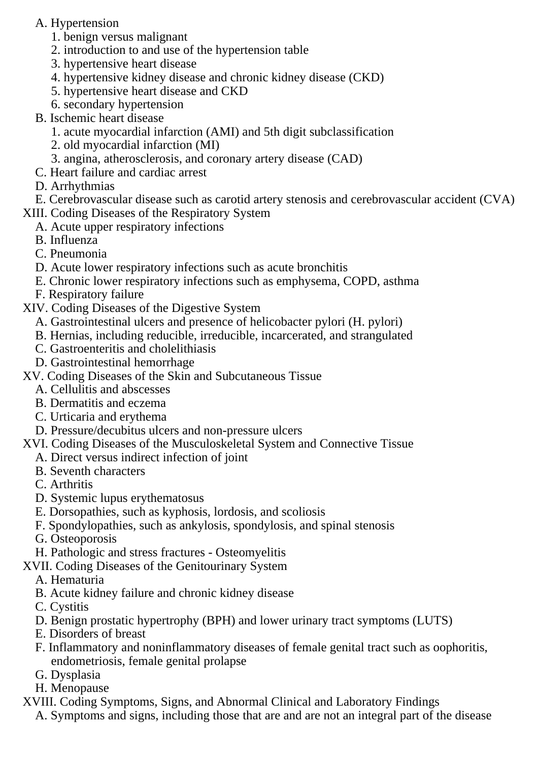## A. Hypertension

- 1. benign versus malignant
- 2. introduction to and use of the hypertension table
- 3. hypertensive heart disease
- 4. hypertensive kidney disease and chronic kidney disease (CKD)
- 5. hypertensive heart disease and CKD
- 6. secondary hypertension
- B. Ischemic heart disease
	- 1. acute myocardial infarction (AMI) and 5th digit subclassification
	- 2. old myocardial infarction (MI)
	- 3. angina, atherosclerosis, and coronary artery disease (CAD)
- C. Heart failure and cardiac arrest
- D. Arrhythmias
- E. Cerebrovascular disease such as carotid artery stenosis and cerebrovascular accident (CVA)
- XIII. Coding Diseases of the Respiratory System
	- A. Acute upper respiratory infections
	- B. Influenza
	- C. Pneumonia
	- D. Acute lower respiratory infections such as acute bronchitis
	- E. Chronic lower respiratory infections such as emphysema, COPD, asthma
	- F. Respiratory failure
- XIV. Coding Diseases of the Digestive System
	- A. Gastrointestinal ulcers and presence of helicobacter pylori (H. pylori)
	- B. Hernias, including reducible, irreducible, incarcerated, and strangulated
	- C. Gastroenteritis and cholelithiasis
	- D. Gastrointestinal hemorrhage
- XV. Coding Diseases of the Skin and Subcutaneous Tissue
	- A. Cellulitis and abscesses
	- B. Dermatitis and eczema
	- C. Urticaria and erythema
	- D. Pressure/decubitus ulcers and non-pressure ulcers
- XVI. Coding Diseases of the Musculoskeletal System and Connective Tissue
	- A. Direct versus indirect infection of joint
	- B. Seventh characters
	- C. Arthritis
	- D. Systemic lupus erythematosus
	- E. Dorsopathies, such as kyphosis, lordosis, and scoliosis
	- F. Spondylopathies, such as ankylosis, spondylosis, and spinal stenosis
	- G. Osteoporosis
	- H. Pathologic and stress fractures Osteomyelitis
- XVII. Coding Diseases of the Genitourinary System
	- A. Hematuria
	- B. Acute kidney failure and chronic kidney disease
	- C. Cystitis
	- D. Benign prostatic hypertrophy (BPH) and lower urinary tract symptoms (LUTS)
	- E. Disorders of breast
	- F. Inflammatory and noninflammatory diseases of female genital tract such as oophoritis, endometriosis, female genital prolapse
	- G. Dysplasia
	- H. Menopause
- XVIII. Coding Symptoms, Signs, and Abnormal Clinical and Laboratory Findings
	- A. Symptoms and signs, including those that are and are not an integral part of the disease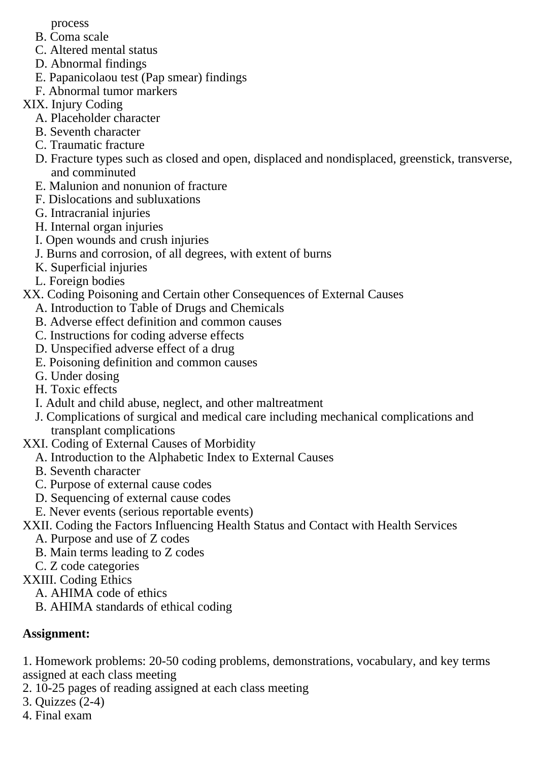process

- B. Coma scale
- C. Altered mental status
- D. Abnormal findings
- E. Papanicolaou test (Pap smear) findings
- F. Abnormal tumor markers
- XIX. Injury Coding
	- A. Placeholder character
	- B. Seventh character
	- C. Traumatic fracture
	- D. Fracture types such as closed and open, displaced and nondisplaced, greenstick, transverse, and comminuted
	- E. Malunion and nonunion of fracture
	- F. Dislocations and subluxations
	- G. Intracranial injuries
	- H. Internal organ injuries
	- I. Open wounds and crush injuries
	- J. Burns and corrosion, of all degrees, with extent of burns
	- K. Superficial injuries
	- L. Foreign bodies
- XX. Coding Poisoning and Certain other Consequences of External Causes
	- A. Introduction to Table of Drugs and Chemicals
	- B. Adverse effect definition and common causes
	- C. Instructions for coding adverse effects
	- D. Unspecified adverse effect of a drug
	- E. Poisoning definition and common causes
	- G. Under dosing
	- H. Toxic effects
	- I. Adult and child abuse, neglect, and other maltreatment
	- J. Complications of surgical and medical care including mechanical complications and transplant complications
- XXI. Coding of External Causes of Morbidity
	- A. Introduction to the Alphabetic Index to External Causes
	- B. Seventh character
	- C. Purpose of external cause codes
	- D. Sequencing of external cause codes
	- E. Never events (serious reportable events)
- XXII. Coding the Factors Influencing Health Status and Contact with Health Services
	- A. Purpose and use of Z codes
	- B. Main terms leading to Z codes
	- C. Z code categories
- XXIII. Coding Ethics
	- A. AHIMA code of ethics
	- B. AHIMA standards of ethical coding

### **Assignment:**

1. Homework problems: 20-50 coding problems, demonstrations, vocabulary, and key terms assigned at each class meeting

- 2. 10-25 pages of reading assigned at each class meeting
- 3. Quizzes (2-4)
- 4. Final exam